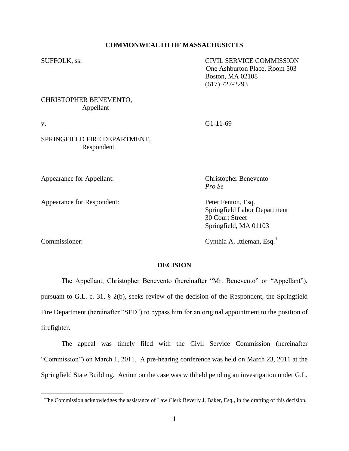#### **COMMONWEALTH OF MASSACHUSETTS**

SUFFOLK, ss. CIVIL SERVICE COMMISSION One Ashburton Place, Room 503 Boston, MA 02108 (617) 727-2293

# CHRISTOPHER BENEVENTO, Appellant

## SPRINGFIELD FIRE DEPARTMENT, Respondent

Appearance for Appellant: Christopher Benevento

Appearance for Respondent: Peter Fenton, Esq.

Commissioner: Cynthia A. Ittleman, Esq.<sup>1</sup>

 $\overline{a}$ 

Springfield Labor Department 30 Court Street

Springfield, MA 01103

#### **DECISION**

The Appellant, Christopher Benevento (hereinafter "Mr. Benevento" or "Appellant"), pursuant to G.L. c. 31, § 2(b), seeks review of the decision of the Respondent, the Springfield Fire Department (hereinafter "SFD") to bypass him for an original appointment to the position of firefighter.

The appeal was timely filed with the Civil Service Commission (hereinafter "Commission") on March 1, 2011. A pre-hearing conference was held on March 23, 2011 at the Springfield State Building. Action on the case was withheld pending an investigation under G.L.

v. G1-11-69

*Pro Se*

 $1$  The Commission acknowledges the assistance of Law Clerk Beverly J. Baker, Esq., in the drafting of this decision.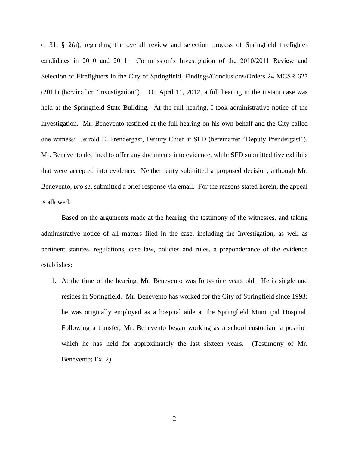c. 31,  $\S$  2(a), regarding the overall review and selection process of Springfield firefighter candidates in 2010 and 2011. Commission"s Investigation of the 2010/2011 Review and Selection of Firefighters in the City of Springfield, Findings/Conclusions/Orders 24 MCSR 627 (2011) (hereinafter "Investigation"). On April 11, 2012, a full hearing in the instant case was held at the Springfield State Building. At the full hearing, I took administrative notice of the Investigation. Mr. Benevento testified at the full hearing on his own behalf and the City called one witness: Jerrold E. Prendergast, Deputy Chief at SFD (hereinafter "Deputy Prendergast"). Mr. Benevento declined to offer any documents into evidence, while SFD submitted five exhibits that were accepted into evidence. Neither party submitted a proposed decision, although Mr. Benevento, *pro se*, submitted a brief response via email. For the reasons stated herein, the appeal is allowed.

Based on the arguments made at the hearing, the testimony of the witnesses, and taking administrative notice of all matters filed in the case, including the Investigation, as well as pertinent statutes, regulations, case law, policies and rules, a preponderance of the evidence establishes:

1. At the time of the hearing, Mr. Benevento was forty-nine years old. He is single and resides in Springfield. Mr. Benevento has worked for the City of Springfield since 1993; he was originally employed as a hospital aide at the Springfield Municipal Hospital. Following a transfer, Mr. Benevento began working as a school custodian, a position which he has held for approximately the last sixteen years. (Testimony of Mr. Benevento; Ex. 2)

2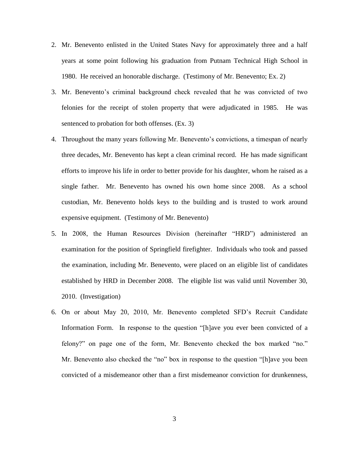- 2. Mr. Benevento enlisted in the United States Navy for approximately three and a half years at some point following his graduation from Putnam Technical High School in 1980. He received an honorable discharge. (Testimony of Mr. Benevento; Ex. 2)
- 3. Mr. Benevento"s criminal background check revealed that he was convicted of two felonies for the receipt of stolen property that were adjudicated in 1985. He was sentenced to probation for both offenses. (Ex. 3)
- 4. Throughout the many years following Mr. Benevento"s convictions, a timespan of nearly three decades, Mr. Benevento has kept a clean criminal record. He has made significant efforts to improve his life in order to better provide for his daughter, whom he raised as a single father. Mr. Benevento has owned his own home since 2008. As a school custodian, Mr. Benevento holds keys to the building and is trusted to work around expensive equipment. (Testimony of Mr. Benevento)
- 5. In 2008, the Human Resources Division (hereinafter "HRD") administered an examination for the position of Springfield firefighter. Individuals who took and passed the examination, including Mr. Benevento, were placed on an eligible list of candidates established by HRD in December 2008. The eligible list was valid until November 30, 2010. (Investigation)
- 6. On or about May 20, 2010, Mr. Benevento completed SFD"s Recruit Candidate Information Form. In response to the question "[h]ave you ever been convicted of a felony?" on page one of the form, Mr. Benevento checked the box marked "no." Mr. Benevento also checked the "no" box in response to the question "[h]ave you been convicted of a misdemeanor other than a first misdemeanor conviction for drunkenness,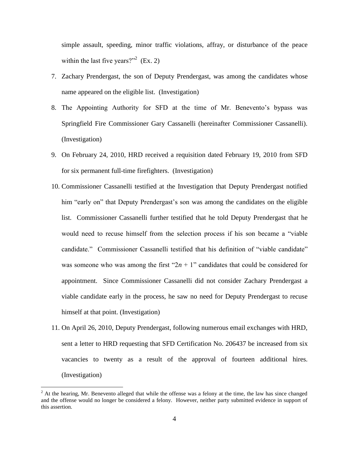simple assault, speeding, minor traffic violations, affray, or disturbance of the peace within the last five years?"<sup>2</sup> (Ex. 2)

- 7. Zachary Prendergast, the son of Deputy Prendergast, was among the candidates whose name appeared on the eligible list. (Investigation)
- 8. The Appointing Authority for SFD at the time of Mr. Benevento"s bypass was Springfield Fire Commissioner Gary Cassanelli (hereinafter Commissioner Cassanelli). (Investigation)
- 9. On February 24, 2010, HRD received a requisition dated February 19, 2010 from SFD for six permanent full-time firefighters. (Investigation)
- 10. Commissioner Cassanelli testified at the Investigation that Deputy Prendergast notified him "early on" that Deputy Prendergast's son was among the candidates on the eligible list. Commissioner Cassanelli further testified that he told Deputy Prendergast that he would need to recuse himself from the selection process if his son became a "viable candidate." Commissioner Cassanelli testified that his definition of "viable candidate" was someone who was among the first " $2n + 1$ " candidates that could be considered for appointment. Since Commissioner Cassanelli did not consider Zachary Prendergast a viable candidate early in the process, he saw no need for Deputy Prendergast to recuse himself at that point. (Investigation)
- 11. On April 26, 2010, Deputy Prendergast, following numerous email exchanges with HRD, sent a letter to HRD requesting that SFD Certification No. 206437 be increased from six vacancies to twenty as a result of the approval of fourteen additional hires. (Investigation)

 $2$  At the hearing, Mr. Benevento alleged that while the offense was a felony at the time, the law has since changed and the offense would no longer be considered a felony. However, neither party submitted evidence in support of this assertion.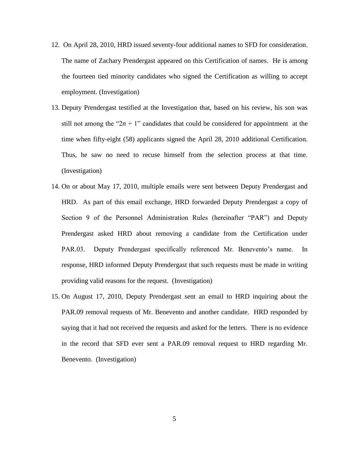- 12. On April 28, 2010, HRD issued seventy-four additional names to SFD for consideration. The name of Zachary Prendergast appeared on this Certification of names. He is among the fourteen tied minority candidates who signed the Certification as willing to accept employment. (Investigation)
- 13. Deputy Prendergast testified at the Investigation that, based on his review, his son was still not among the " $2n + 1$ " candidates that could be considered for appointment at the time when fifty-eight (58) applicants signed the April 28, 2010 additional Certification. Thus, he saw no need to recuse himself from the selection process at that time. (Investigation)
- 14. On or about May 17, 2010, multiple emails were sent between Deputy Prendergast and HRD. As part of this email exchange, HRD forwarded Deputy Prendergast a copy of Section 9 of the Personnel Administration Rules (hereinafter "PAR") and Deputy Prendergast asked HRD about removing a candidate from the Certification under PAR.03. Deputy Prendergast specifically referenced Mr. Benevento's name. In response, HRD informed Deputy Prendergast that such requests must be made in writing providing valid reasons for the request. (Investigation)
- 15. On August 17, 2010, Deputy Prendergast sent an email to HRD inquiring about the PAR.09 removal requests of Mr. Benevento and another candidate. HRD responded by saying that it had not received the requests and asked for the letters. There is no evidence in the record that SFD ever sent a PAR.09 removal request to HRD regarding Mr. Benevento. (Investigation)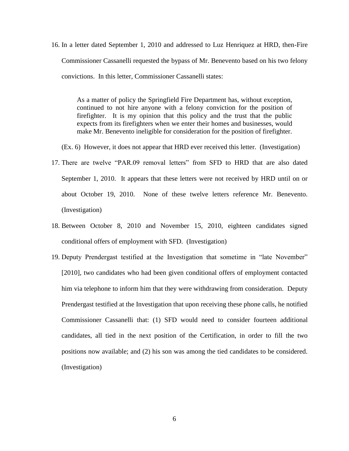16. In a letter dated September 1, 2010 and addressed to Luz Henriquez at HRD, then-Fire Commissioner Cassanelli requested the bypass of Mr. Benevento based on his two felony convictions. In this letter, Commissioner Cassanelli states:

As a matter of policy the Springfield Fire Department has, without exception, continued to not hire anyone with a felony conviction for the position of firefighter. It is my opinion that this policy and the trust that the public expects from its firefighters when we enter their homes and businesses, would make Mr. Benevento ineligible for consideration for the position of firefighter.

(Ex. 6) However, it does not appear that HRD ever received this letter. (Investigation)

- 17. There are twelve "PAR.09 removal letters" from SFD to HRD that are also dated September 1, 2010. It appears that these letters were not received by HRD until on or about October 19, 2010. None of these twelve letters reference Mr. Benevento. (Investigation)
- 18. Between October 8, 2010 and November 15, 2010, eighteen candidates signed conditional offers of employment with SFD. (Investigation)
- 19. Deputy Prendergast testified at the Investigation that sometime in "late November" [2010], two candidates who had been given conditional offers of employment contacted him via telephone to inform him that they were withdrawing from consideration. Deputy Prendergast testified at the Investigation that upon receiving these phone calls, he notified Commissioner Cassanelli that: (1) SFD would need to consider fourteen additional candidates, all tied in the next position of the Certification, in order to fill the two positions now available; and (2) his son was among the tied candidates to be considered. (Investigation)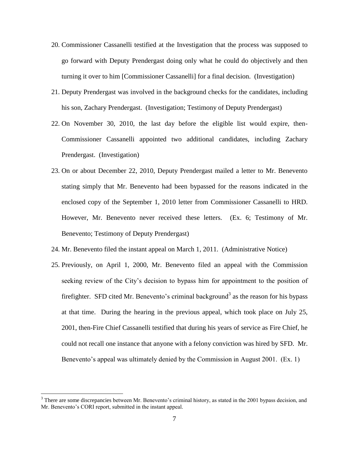- 20. Commissioner Cassanelli testified at the Investigation that the process was supposed to go forward with Deputy Prendergast doing only what he could do objectively and then turning it over to him [Commissioner Cassanelli] for a final decision. (Investigation)
- 21. Deputy Prendergast was involved in the background checks for the candidates, including his son, Zachary Prendergast. (Investigation; Testimony of Deputy Prendergast)
- 22. On November 30, 2010, the last day before the eligible list would expire, then-Commissioner Cassanelli appointed two additional candidates, including Zachary Prendergast. (Investigation)
- 23. On or about December 22, 2010, Deputy Prendergast mailed a letter to Mr. Benevento stating simply that Mr. Benevento had been bypassed for the reasons indicated in the enclosed copy of the September 1, 2010 letter from Commissioner Cassanelli to HRD. However, Mr. Benevento never received these letters. (Ex. 6; Testimony of Mr. Benevento; Testimony of Deputy Prendergast)
- 24. Mr. Benevento filed the instant appeal on March 1, 2011. (Administrative Notice)
- 25. Previously, on April 1, 2000, Mr. Benevento filed an appeal with the Commission seeking review of the City's decision to bypass him for appointment to the position of firefighter. SFD cited Mr. Benevento's criminal background<sup>3</sup> as the reason for his bypass at that time. During the hearing in the previous appeal, which took place on July 25, 2001, then-Fire Chief Cassanelli testified that during his years of service as Fire Chief, he could not recall one instance that anyone with a felony conviction was hired by SFD. Mr. Benevento's appeal was ultimately denied by the Commission in August 2001. (Ex. 1)

<sup>&</sup>lt;sup>3</sup> There are some discrepancies between Mr. Benevento's criminal history, as stated in the 2001 bypass decision, and Mr. Benevento's CORI report, submitted in the instant appeal.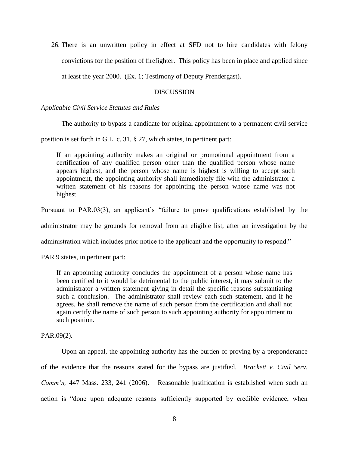26. There is an unwritten policy in effect at SFD not to hire candidates with felony convictions for the position of firefighter. This policy has been in place and applied since

at least the year 2000. (Ex. 1; Testimony of Deputy Prendergast).

# DISCUSSION

## *Applicable Civil Service Statutes and Rules*

The authority to bypass a candidate for original appointment to a permanent civil service

position is set forth in G.L. c. 31, § 27, which states, in pertinent part:

If an appointing authority makes an original or promotional appointment from a certification of any qualified person other than the qualified person whose name appears highest, and the person whose name is highest is willing to accept such appointment, the appointing authority shall immediately file with the administrator a written statement of his reasons for appointing the person whose name was not highest.

Pursuant to PAR.03(3), an applicant's "failure to prove qualifications established by the

administrator may be grounds for removal from an eligible list, after an investigation by the

administration which includes prior notice to the applicant and the opportunity to respond."

PAR 9 states, in pertinent part:

If an appointing authority concludes the appointment of a person whose name has been certified to it would be detrimental to the public interest, it may submit to the administrator a written statement giving in detail the specific reasons substantiating such a conclusion. The administrator shall review each such statement, and if he agrees, he shall remove the name of such person from the certification and shall not again certify the name of such person to such appointing authority for appointment to such position.

PAR.09(2).

Upon an appeal, the appointing authority has the burden of proving by a preponderance of the evidence that the reasons stated for the bypass are justified. *Brackett v. Civil Serv. Comm'n,* 447 Mass. 233, 241 (2006). Reasonable justification is established when such an action is "done upon adequate reasons sufficiently supported by credible evidence, when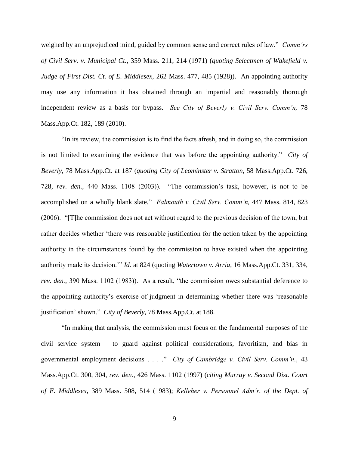weighed by an unprejudiced mind, guided by common sense and correct rules of law." *Comm'rs of Civil Serv. v. Municipal Ct.,* 359 Mass. 211, 214 (1971) (*quoting Selectmen of Wakefield v. Judge of First Dist. Ct. of E. Middlesex,* 262 Mass. 477, 485 (1928)). An appointing authority may use any information it has obtained through an impartial and reasonably thorough independent review as a basis for bypass. *See City of Beverly v. Civil Serv. Comm'n,* 78 Mass.App.Ct. 182, 189 (2010).

"In its review, the commission is to find the facts afresh, and in doing so, the commission is not limited to examining the evidence that was before the appointing authority." *City of Beverly,* 78 Mass.App.Ct. at 187 (*quoting City of Leominster v. Stratton,* 58 Mass.App.Ct. 726, 728, *rev. den.,* 440 Mass. 1108 (2003)). "The commission"s task, however, is not to be accomplished on a wholly blank slate." *Falmouth v. Civil Serv. Comm'n,* 447 Mass. 814, 823 (2006). "[T]he commission does not act without regard to the previous decision of the town, but rather decides whether "there was reasonable justification for the action taken by the appointing authority in the circumstances found by the commission to have existed when the appointing authority made its decision."" *Id.* at 824 (quoting *Watertown v. Arria,* 16 Mass.App.Ct. 331, 334, *rev. den.,* 390 Mass. 1102 (1983)). As a result, "the commission owes substantial deference to the appointing authority"s exercise of judgment in determining whether there was "reasonable justification" shown." *City of Beverly,* 78 Mass.App.Ct. at 188.

"In making that analysis, the commission must focus on the fundamental purposes of the civil service system – to guard against political considerations, favoritism, and bias in governmental employment decisions . . . ." *City of Cambridge v. Civil Serv. Comm'n.,* 43 Mass.App.Ct. 300, 304, *rev. den.,* 426 Mass. 1102 (1997) (*citing Murray v. Second Dist. Court of E. Middlesex,* 389 Mass. 508, 514 (1983); *Kelleher v. Personnel Adm'r. of the Dept. of*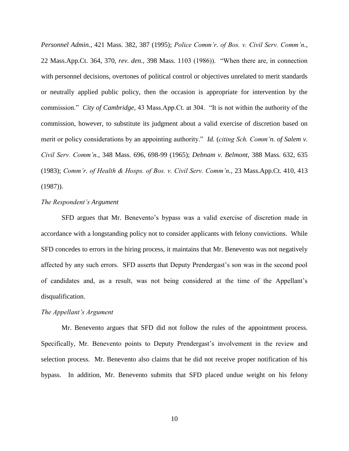*Personnel Admin.,* 421 Mass. 382, 387 (1995); *Police Comm'r. of Bos. v. Civil Serv. Comm'n.,*  22 Mass.App.Ct. 364, 370, *rev. den.,* 398 Mass. 1103 (1986)). "When there are, in connection with personnel decisions, overtones of political control or objectives unrelated to merit standards or neutrally applied public policy, then the occasion is appropriate for intervention by the commission." *City of Cambridge,* 43 Mass.App.Ct. at 304. "It is not within the authority of the commission, however, to substitute its judgment about a valid exercise of discretion based on merit or policy considerations by an appointing authority." *Id.* (*citing Sch. Comm'n. of Salem v. Civil Serv. Comm'n.,* 348 Mass. 696, 698-99 (1965); *Debnam v. Belmont,* 388 Mass. 632, 635 (1983); *Comm'r. of Health & Hosps. of Bos. v. Civil Serv. Comm'n.,* 23 Mass.App.Ct. 410, 413 (1987)).

#### *The Respondent's Argument*

SFD argues that Mr. Benevento's bypass was a valid exercise of discretion made in accordance with a longstanding policy not to consider applicants with felony convictions. While SFD concedes to errors in the hiring process, it maintains that Mr. Benevento was not negatively affected by any such errors. SFD asserts that Deputy Prendergast"s son was in the second pool of candidates and, as a result, was not being considered at the time of the Appellant"s disqualification.

## *The Appellant's Argument*

Mr. Benevento argues that SFD did not follow the rules of the appointment process. Specifically, Mr. Benevento points to Deputy Prendergast's involvement in the review and selection process. Mr. Benevento also claims that he did not receive proper notification of his bypass. In addition, Mr. Benevento submits that SFD placed undue weight on his felony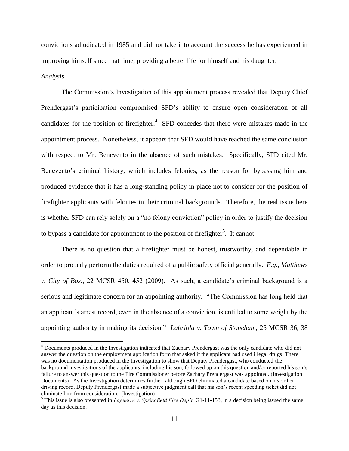convictions adjudicated in 1985 and did not take into account the success he has experienced in improving himself since that time, providing a better life for himself and his daughter.

#### *Analysis*

 $\overline{a}$ 

The Commission"s Investigation of this appointment process revealed that Deputy Chief Prendergast's participation compromised SFD's ability to ensure open consideration of all candidates for the position of firefighter. $4$  SFD concedes that there were mistakes made in the appointment process. Nonetheless, it appears that SFD would have reached the same conclusion with respect to Mr. Benevento in the absence of such mistakes. Specifically, SFD cited Mr. Benevento's criminal history, which includes felonies, as the reason for bypassing him and produced evidence that it has a long-standing policy in place not to consider for the position of firefighter applicants with felonies in their criminal backgrounds. Therefore, the real issue here is whether SFD can rely solely on a "no felony conviction" policy in order to justify the decision to bypass a candidate for appointment to the position of firefighter<sup>5</sup>. It cannot.

There is no question that a firefighter must be honest, trustworthy, and dependable in order to properly perform the duties required of a public safety official generally. *E.g., Matthews v. City of Bos.,* 22 MCSR 450, 452 (2009). As such, a candidate"s criminal background is a serious and legitimate concern for an appointing authority. "The Commission has long held that an applicant's arrest record, even in the absence of a conviction, is entitled to some weight by the appointing authority in making its decision." *Labriola v. Town of Stoneham,* 25 MCSR 36, 38

<sup>&</sup>lt;sup>4</sup> Documents produced in the Investigation indicated that Zachary Prendergast was the only candidate who did not answer the question on the employment application form that asked if the applicant had used illegal drugs. There was no documentation produced in the Investigation to show that Deputy Prendergast, who conducted the background investigations of the applicants, including his son, followed up on this question and/or reported his son"s failure to answer this question to the Fire Commissioner before Zachary Prendergast was appointed. (Investigation Documents) As the Investigation determines further, although SFD eliminated a candidate based on his or her driving record, Deputy Prendergast made a subjective judgment call that his son"s recent speeding ticket did not eliminate him from consideration. (Investigation)

<sup>5</sup> This issue is also presented in *Laguerre v. Springfield Fire Dep't,* G1-11-153, in a decision being issued the same day as this decision.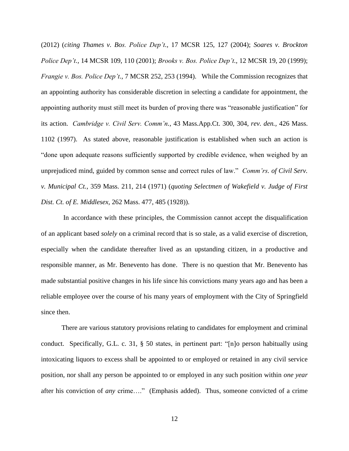(2012) (*citing Thames v. Bos. Police Dep't.,* 17 MCSR 125, 127 (2004); *Soares v. Brockton Police Dep't.,* 14 MCSR 109, 110 (2001); *Brooks v. Bos. Police Dep't.,* 12 MCSR 19, 20 (1999); *Frangie v. Bos. Police Dep't.,* 7 MCSR 252, 253 (1994). While the Commission recognizes that an appointing authority has considerable discretion in selecting a candidate for appointment, the appointing authority must still meet its burden of proving there was "reasonable justification" for its action. *Cambridge v. Civil Serv. Comm'n.,* 43 Mass.App.Ct. 300, 304, *rev. den.,* 426 Mass. 1102 (1997). As stated above, reasonable justification is established when such an action is "done upon adequate reasons sufficiently supported by credible evidence, when weighed by an unprejudiced mind, guided by common sense and correct rules of law." *Comm'rs. of Civil Serv. v. Municipal Ct.,* 359 Mass. 211, 214 (1971) (*quoting Selectmen of Wakefield v. Judge of First Dist. Ct. of E. Middlesex,* 262 Mass. 477, 485 (1928)).

In accordance with these principles, the Commission cannot accept the disqualification of an applicant based *solely* on a criminal record that is so stale, as a valid exercise of discretion, especially when the candidate thereafter lived as an upstanding citizen, in a productive and responsible manner, as Mr. Benevento has done. There is no question that Mr. Benevento has made substantial positive changes in his life since his convictions many years ago and has been a reliable employee over the course of his many years of employment with the City of Springfield since then.

There are various statutory provisions relating to candidates for employment and criminal conduct. Specifically, G.L. c. 31, § 50 states, in pertinent part: "[n]o person habitually using intoxicating liquors to excess shall be appointed to or employed or retained in any civil service position, nor shall any person be appointed to or employed in any such position within *one year* after his conviction of *any* crime…." (Emphasis added). Thus, someone convicted of a crime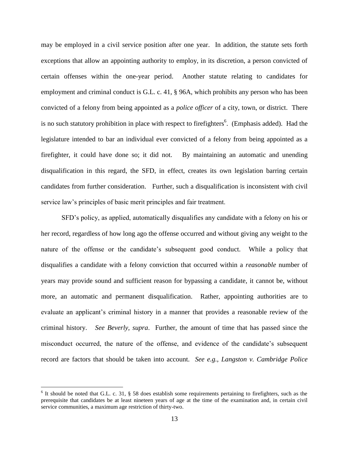may be employed in a civil service position after one year. In addition, the statute sets forth exceptions that allow an appointing authority to employ, in its discretion, a person convicted of certain offenses within the one-year period. Another statute relating to candidates for employment and criminal conduct is G.L. c. 41, § 96A, which prohibits any person who has been convicted of a felony from being appointed as a *police officer* of a city, town, or district. There is no such statutory prohibition in place with respect to firefighters<sup>6</sup>. (Emphasis added). Had the legislature intended to bar an individual ever convicted of a felony from being appointed as a firefighter, it could have done so; it did not. By maintaining an automatic and unending disqualification in this regard, the SFD, in effect, creates its own legislation barring certain candidates from further consideration. Further, such a disqualification is inconsistent with civil service law"s principles of basic merit principles and fair treatment.

SFD"s policy, as applied, automatically disqualifies any candidate with a felony on his or her record, regardless of how long ago the offense occurred and without giving any weight to the nature of the offense or the candidate"s subsequent good conduct. While a policy that disqualifies a candidate with a felony conviction that occurred within a *reasonable* number of years may provide sound and sufficient reason for bypassing a candidate, it cannot be, without more, an automatic and permanent disqualification. Rather, appointing authorities are to evaluate an applicant's criminal history in a manner that provides a reasonable review of the criminal history. *See Beverly, supra*. Further, the amount of time that has passed since the misconduct occurred, the nature of the offense, and evidence of the candidate"s subsequent record are factors that should be taken into account. *See e.g., Langston v. Cambridge Police* 

 $6$  It should be noted that G.L. c. 31, § 58 does establish some requirements pertaining to firefighters, such as the prerequisite that candidates be at least nineteen years of age at the time of the examination and, in certain civil service communities, a maximum age restriction of thirty-two.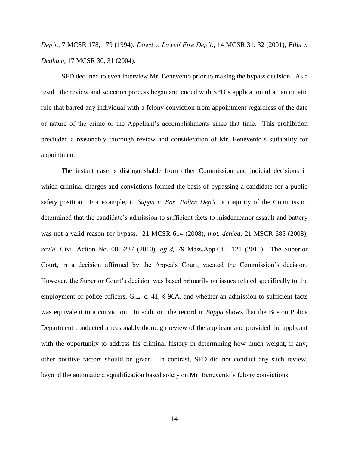*Dep't.,* 7 MCSR 178, 179 (1994); *Dowd v. Lowell Fire Dep't.,* 14 MCSR 31, 32 (2001); *Ellis v. Dedham,* 17 MCSR 30, 31 (2004).

SFD declined to even interview Mr. Benevento prior to making the bypass decision. As a result, the review and selection process began and ended with SFD"s application of an automatic rule that barred any individual with a felony conviction from appointment regardless of the date or nature of the crime or the Appellant"s accomplishments since that time. This prohibition precluded a reasonably thorough review and consideration of Mr. Benevento"s suitability for appointment.

The instant case is distinguishable from other Commission and judicial decisions in which criminal charges and convictions formed the basis of bypassing a candidate for a public safety position. For example, in *Suppa v. Bos. Police Dep't.*, a majority of the Commission determined that the candidate's admission to sufficient facts to misdemeanor assault and battery was not a valid reason for bypass. 21 MCSR 614 (2008), *mot. denied,* 21 MSCR 685 (2008), *rev'd,* Civil Action No. 08-5237 (2010), *aff'd,* 79 Mass.App.Ct. 1121 (2011). The Superior Court, in a decision affirmed by the Appeals Court, vacated the Commission"s decision. However, the Superior Court's decision was based primarily on issues related specifically to the employment of police officers, G.L. c. 41, § 96A, and whether an admission to sufficient facts was equivalent to a conviction. In addition, the record in *Suppa* shows that the Boston Police Department conducted a reasonably thorough review of the applicant and provided the applicant with the opportunity to address his criminal history in determining how much weight, if any, other positive factors should be given. In contrast, SFD did not conduct any such review, beyond the automatic disqualification based solely on Mr. Benevento's felony convictions.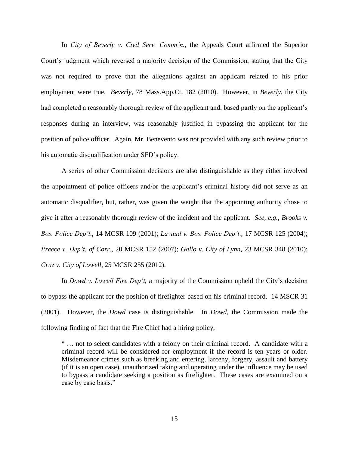In *City of Beverly v. Civil Serv. Comm'n.,* the Appeals Court affirmed the Superior Court"s judgment which reversed a majority decision of the Commission, stating that the City was not required to prove that the allegations against an applicant related to his prior employment were true. *Beverly*, 78 Mass.App.Ct. 182 (2010). However, in *Beverly,* the City had completed a reasonably thorough review of the applicant and, based partly on the applicant's responses during an interview, was reasonably justified in bypassing the applicant for the position of police officer. Again, Mr. Benevento was not provided with any such review prior to his automatic disqualification under SFD"s policy.

A series of other Commission decisions are also distinguishable as they either involved the appointment of police officers and/or the applicant's criminal history did not serve as an automatic disqualifier, but, rather, was given the weight that the appointing authority chose to give it after a reasonably thorough review of the incident and the applicant. *See, e.g., Brooks v. Bos. Police Dep't.,* 14 MCSR 109 (2001); *Lavaud v. Bos. Police Dep't.,* 17 MCSR 125 (2004); *Preece v. Dep't. of Corr.,* 20 MCSR 152 (2007); *Gallo v. City of Lynn,* 23 MCSR 348 (2010); *Cruz v. City of Lowell,* 25 MCSR 255 (2012).

In *Dowd v. Lowell Fire Dep't,* a majority of the Commission upheld the City"s decision to bypass the applicant for the position of firefighter based on his criminal record. 14 MSCR 31 (2001). However, the *Dowd* case is distinguishable. In *Dowd*, the Commission made the following finding of fact that the Fire Chief had a hiring policy,

" … not to select candidates with a felony on their criminal record. A candidate with a criminal record will be considered for employment if the record is ten years or older. Misdemeanor crimes such as breaking and entering, larceny, forgery, assault and battery (if it is an open case), unauthorized taking and operating under the influence may be used to bypass a candidate seeking a position as firefighter. These cases are examined on a case by case basis."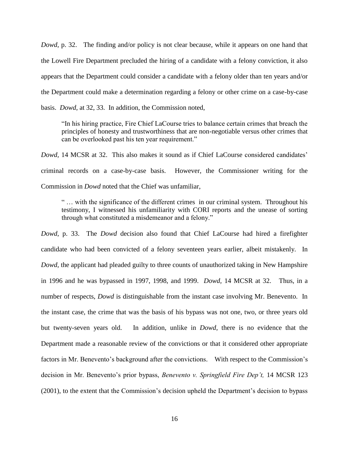*Dowd*, p. 32. The finding and/or policy is not clear because, while it appears on one hand that the Lowell Fire Department precluded the hiring of a candidate with a felony conviction, it also appears that the Department could consider a candidate with a felony older than ten years and/or the Department could make a determination regarding a felony or other crime on a case-by-case basis. *Dowd*, at 32, 33. In addition, the Commission noted,

"In his hiring practice, Fire Chief LaCourse tries to balance certain crimes that breach the principles of honesty and trustworthiness that are non-negotiable versus other crimes that can be overlooked past his ten year requirement."

*Dowd,* 14 MCSR at 32. This also makes it sound as if Chief LaCourse considered candidates' criminal records on a case-by-case basis. However, the Commissioner writing for the Commission in *Dowd* noted that the Chief was unfamiliar,

" … with the significance of the different crimes in our criminal system. Throughout his testimony, I witnessed his unfamiliarity with CORI reports and the unease of sorting through what constituted a misdemeanor and a felony."

*Dowd*, p. 33. The *Dowd* decision also found that Chief LaCourse had hired a firefighter candidate who had been convicted of a felony seventeen years earlier, albeit mistakenly. In *Dowd*, the applicant had pleaded guilty to three counts of unauthorized taking in New Hampshire in 1996 and he was bypassed in 1997, 1998, and 1999. *Dowd,* 14 MCSR at 32. Thus, in a number of respects, *Dowd* is distinguishable from the instant case involving Mr. Benevento. In the instant case, the crime that was the basis of his bypass was not one, two, or three years old but twenty-seven years old. In addition, unlike in *Dowd*, there is no evidence that the Department made a reasonable review of the convictions or that it considered other appropriate factors in Mr. Benevento's background after the convictions. With respect to the Commission's decision in Mr. Benevento's prior bypass, *Benevento v. Springfield Fire Dep't*, 14 MCSR 123 (2001), to the extent that the Commission"s decision upheld the Department"s decision to bypass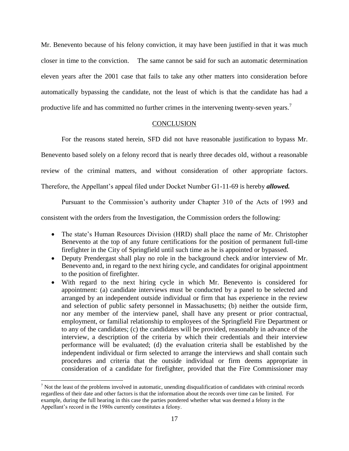Mr. Benevento because of his felony conviction, it may have been justified in that it was much closer in time to the conviction. The same cannot be said for such an automatic determination eleven years after the 2001 case that fails to take any other matters into consideration before automatically bypassing the candidate, not the least of which is that the candidate has had a productive life and has committed no further crimes in the intervening twenty-seven years.<sup>7</sup>

#### **CONCLUSION**

For the reasons stated herein, SFD did not have reasonable justification to bypass Mr. Benevento based solely on a felony record that is nearly three decades old, without a reasonable review of the criminal matters, and without consideration of other appropriate factors. Therefore, the Appellant"s appeal filed under Docket Number G1-11-69 is hereby *allowed.*

Pursuant to the Commission"s authority under Chapter 310 of the Acts of 1993 and

consistent with the orders from the Investigation, the Commission orders the following:

- The state's Human Resources Division (HRD) shall place the name of Mr. Christopher Benevento at the top of any future certifications for the position of permanent full-time firefighter in the City of Springfield until such time as he is appointed or bypassed.
- Deputy Prendergast shall play no role in the background check and/or interview of Mr. Benevento and, in regard to the next hiring cycle, and candidates for original appointment to the position of firefighter.
- With regard to the next hiring cycle in which Mr. Benevento is considered for appointment: (a) candidate interviews must be conducted by a panel to be selected and arranged by an independent outside individual or firm that has experience in the review and selection of public safety personnel in Massachusetts; (b) neither the outside firm, nor any member of the interview panel, shall have any present or prior contractual, employment, or familial relationship to employees of the Springfield Fire Department or to any of the candidates; (c) the candidates will be provided, reasonably in advance of the interview, a description of the criteria by which their credentials and their interview performance will be evaluated; (d) the evaluation criteria shall be established by the independent individual or firm selected to arrange the interviews and shall contain such procedures and criteria that the outside individual or firm deems appropriate in consideration of a candidate for firefighter, provided that the Fire Commissioner may

 $<sup>7</sup>$  Not the least of the problems involved in automatic, unending disqualification of candidates with criminal records</sup> regardless of their date and other factors is that the information about the records over time can be limited. For example, during the full hearing in this case the parties pondered whether what was deemed a felony in the Appellant"s record in the 1980s currently constitutes a felony.